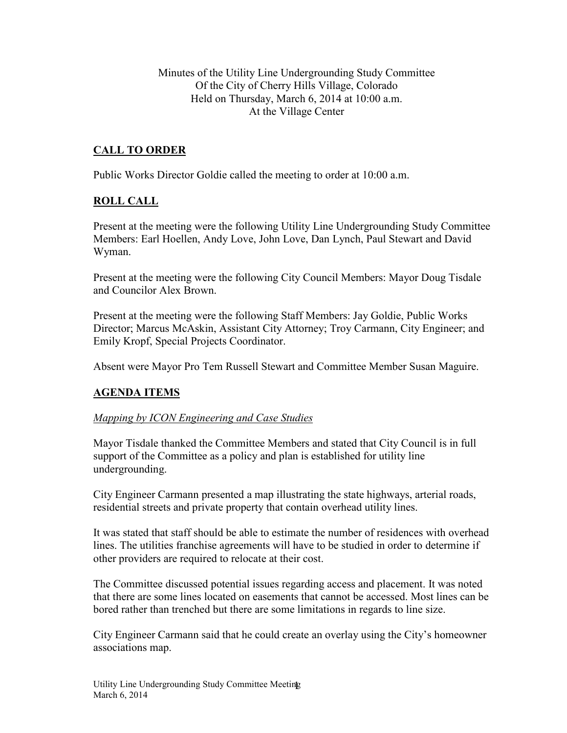Minutes of the Utility Line Undergrounding Study Committee Of the City of Cherry Hills Village, Colorado Held on Thursday, March 6, 2014 at 10:00 a.m. At the Village Center

# **CALL TO ORDER**

Public Works Director Goldie called the meeting to order at 10:00 a.m.

## **ROLL CALL**

Present at the meeting were the following Utility Line Undergrounding Study Committee Members: Earl Hoellen, Andy Love, John Love, Dan Lynch, Paul Stewart and David Wyman.

Present at the meeting were the following City Council Members: Mayor Doug Tisdale and Councilor Alex Brown.

Present at the meeting were the following Staff Members: Jay Goldie, Public Works Director; Marcus McAskin, Assistant City Attorney; Troy Carmann, City Engineer; and Emily Kropf, Special Projects Coordinator.

Absent were Mayor Pro Tem Russell Stewart and Committee Member Susan Maguire.

## **AGENDA ITEMS**

### *Mapping by ICON Engineering and Case Studies*

Mayor Tisdale thanked the Committee Members and stated that City Council is in full support of the Committee as a policy and plan is established for utility line undergrounding.

City Engineer Carmann presented a map illustrating the state highways, arterial roads, residential streets and private property that contain overhead utility lines.

It was stated that staff should be able to estimate the number of residences with overhead lines. The utilities franchise agreements will have to be studied in order to determine if other providers are required to relocate at their cost.

The Committee discussed potential issues regarding access and placement. It was noted that there are some lines located on easements that cannot be accessed. Most lines can be bored rather than trenched but there are some limitations in regards to line size.

City Engineer Carmann said that he could create an overlay using the City's homeowner associations map.